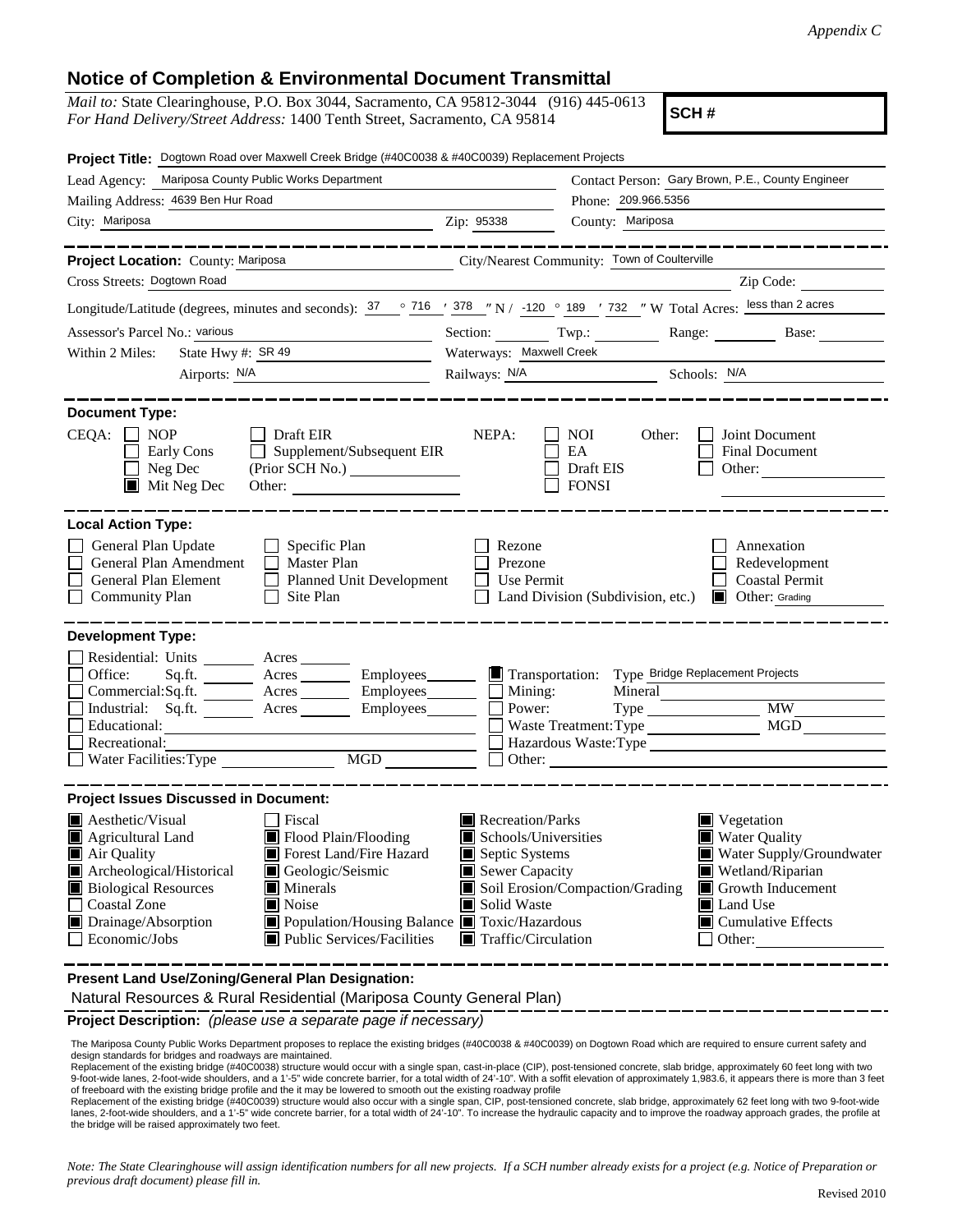## **Notice of Completion & Environmental Document Transmittal**

| <i>Mail to:</i> State Clearinghouse, P.O. Box 3044, Sacramento, CA 95812-3044 (916) 445-0613 |  |
|----------------------------------------------------------------------------------------------|--|
| <i>For Hand Delivery/Street Address:</i> 1400 Tenth Street, Sacramento, CA 95814             |  |

**SCH #**

| Project Title: Dogtown Road over Maxwell Creek Bridge (#40C0038 & #40C0039) Replacement Projects                                                                                                                                                                                                                                                                                                                |                                                                                                                                                                                                                                                                                                                                                     |                                                                                                                                       |                                                                        |  |
|-----------------------------------------------------------------------------------------------------------------------------------------------------------------------------------------------------------------------------------------------------------------------------------------------------------------------------------------------------------------------------------------------------------------|-----------------------------------------------------------------------------------------------------------------------------------------------------------------------------------------------------------------------------------------------------------------------------------------------------------------------------------------------------|---------------------------------------------------------------------------------------------------------------------------------------|------------------------------------------------------------------------|--|
| Lead Agency: Mariposa County Public Works Department                                                                                                                                                                                                                                                                                                                                                            | Contact Person: Gary Brown, P.E., County Engineer                                                                                                                                                                                                                                                                                                   |                                                                                                                                       |                                                                        |  |
| Mailing Address: 4639 Ben Hur Road                                                                                                                                                                                                                                                                                                                                                                              | Phone: 209.966.5356                                                                                                                                                                                                                                                                                                                                 |                                                                                                                                       |                                                                        |  |
| City: Mariposa<br><u> 1980 - Johann Barn, mars ann an t-Amhain Aonaich an t-Aonaich an t-Aonaich ann an t-Aonaich ann an t-Aonaich</u>                                                                                                                                                                                                                                                                          | Zip: 95338                                                                                                                                                                                                                                                                                                                                          | County: Mariposa                                                                                                                      |                                                                        |  |
|                                                                                                                                                                                                                                                                                                                                                                                                                 |                                                                                                                                                                                                                                                                                                                                                     |                                                                                                                                       | -------------                                                          |  |
| City/Nearest Community: Town of Coulterville<br>Project Location: County: Mariposa                                                                                                                                                                                                                                                                                                                              |                                                                                                                                                                                                                                                                                                                                                     |                                                                                                                                       |                                                                        |  |
| Cross Streets: Dogtown Road                                                                                                                                                                                                                                                                                                                                                                                     |                                                                                                                                                                                                                                                                                                                                                     |                                                                                                                                       | Zip Code:                                                              |  |
| Longitude/Latitude (degrees, minutes and seconds): $\frac{37}{20}$ $\frac{716}{120}$ $\frac{1378}{120}$ N / -120 $\degree$ 189 $\degree$ 732 $\degree$ W Total Acres: less than 2 acres                                                                                                                                                                                                                         |                                                                                                                                                                                                                                                                                                                                                     |                                                                                                                                       |                                                                        |  |
| Assessor's Parcel No.: various<br><u> 1989 - Johann Barn, mars ann an t-Amhain Aonaich an t-Aonaich an t-Aonaich ann an t-Aonaich ann an t-Aonaich</u>                                                                                                                                                                                                                                                          | Section: Twp.: _______                                                                                                                                                                                                                                                                                                                              |                                                                                                                                       | Range: Base:                                                           |  |
| State Hwy #: $SR 49$<br>Within 2 Miles:                                                                                                                                                                                                                                                                                                                                                                         | Waterways: Maxwell Creek                                                                                                                                                                                                                                                                                                                            |                                                                                                                                       |                                                                        |  |
|                                                                                                                                                                                                                                                                                                                                                                                                                 |                                                                                                                                                                                                                                                                                                                                                     | Railways: N/A Schools: N/A                                                                                                            |                                                                        |  |
| <b>Document Type:</b><br>$CEQA: \Box NOP$<br><b>Draft EIR</b><br>Supplement/Subsequent EIR<br>Early Cons<br>$\Box$ Neg Dec<br>$\blacksquare$ Mit Neg Dec<br>Other:                                                                                                                                                                                                                                              | NEPA:                                                                                                                                                                                                                                                                                                                                               | <b>NOI</b><br>Other:<br>EA<br>Draft EIS<br><b>FONSI</b>                                                                               | Joint Document<br>Final Document<br>Other:                             |  |
| <b>Local Action Type:</b><br>General Plan Update<br>$\Box$ Specific Plan<br>General Plan Amendment<br>$\Box$ Master Plan<br>General Plan Element<br>$\perp$<br>Planned Unit Development<br>$\Box$ Community Plan<br>Site Plan                                                                                                                                                                                   | Rezone<br>Prezone<br>Use Permit                                                                                                                                                                                                                                                                                                                     | Land Division (Subdivision, etc.)                                                                                                     | Annexation<br>Redevelopment<br><b>Coastal Permit</b><br>Other: Grading |  |
| <b>Development Type:</b>                                                                                                                                                                                                                                                                                                                                                                                        |                                                                                                                                                                                                                                                                                                                                                     |                                                                                                                                       |                                                                        |  |
| Residential: Units ________ Acres _______<br>Office:<br>Sq.ft.<br>Acres<br>Employees________<br>$Commercial:Sq.fit.$ Acres Employees $\Box$ Mining:<br>Industrial: Sq.ft. ________ Acres _______<br>Employees_________<br>Educational:<br>Recreational:<br>Water Facilities: Type<br>MGD                                                                                                                        | Power:<br>Other:                                                                                                                                                                                                                                                                                                                                    | Transportation: Type Bridge Replacement Projects<br>Mineral<br>Waste Treatment: Type<br><u> 1989 - Andrea Andrew Maria (h. 1989).</u> | MGD<br>Hazardous Waste:Type                                            |  |
| <b>Project Issues Discussed in Document:</b>                                                                                                                                                                                                                                                                                                                                                                    |                                                                                                                                                                                                                                                                                                                                                     |                                                                                                                                       |                                                                        |  |
| $\blacksquare$ Aesthetic/Visual<br>Fiscal<br>Flood Plain/Flooding<br><b>Agricultural Land</b><br>IW<br>Forest Land/Fire Hazard<br>Air Quality<br>Archeological/Historical<br>Geologic/Seismic<br><b>Biological Resources</b><br>$\blacksquare$ Minerals<br><b>Coastal Zone</b><br>Noise<br>Drainage/Absorption<br>■ Population/Housing Balance ■ Toxic/Hazardous<br>Economic/Jobs<br>Public Services/Facilities | Recreation/Parks<br>Vegetation<br>Schools/Universities<br><b>Water Quality</b><br>Water Supply/Groundwater<br>Septic Systems<br>Sewer Capacity<br>Wetland/Riparian<br>Soil Erosion/Compaction/Grading<br>Growth Inducement<br>Solid Waste<br><b>I</b> Land Use<br>$\blacksquare$ Cumulative Effects<br>$\blacksquare$ Traffic/Circulation<br>Other: |                                                                                                                                       |                                                                        |  |
| Present Land Use/Zoning/General Plan Designation:                                                                                                                                                                                                                                                                                                                                                               |                                                                                                                                                                                                                                                                                                                                                     |                                                                                                                                       |                                                                        |  |

Natural Resources & Rural Residential (Mariposa County General Plan)

**Project Description:** *(please use a separate page if necessary)*

 The Mariposa County Public Works Department proposes to replace the existing bridges (#40C0038 & #40C0039) on Dogtown Road which are required to ensure current safety and design standards for bridges and roadways are maintained.

Replacement of the existing bridge (#40C0038) structure would occur with a single span, cast-in-place (CIP), post-tensioned concrete, slab bridge, approximately 60 feet long with two 9-foot-wide lanes, 2-foot-wide shoulders, and a 1'-5" wide concrete barrier, for a total width of 24'-10". With a soffit elevation of approximately 1,983.6, it appears there is more than 3 feet

of freeboard with the existing bridge profile and the it may be lowered to smooth out the existing roadway profile<br>Replacement of the existing bridge (#40C0039) structure would also occur with a single span, CIP, post-tens lanes, 2-foot-wide shoulders, and a 1'-5" wide concrete barrier, for a total width of 24'-10". To increase the hydraulic capacity and to improve the roadway approach grades, the profile at the bridge will be raised approximately two feet.

*Note: The State Clearinghouse will assign identification numbers for all new projects. If a SCH number already exists for a project (e.g. Notice of Preparation or previous draft document) please fill in.*